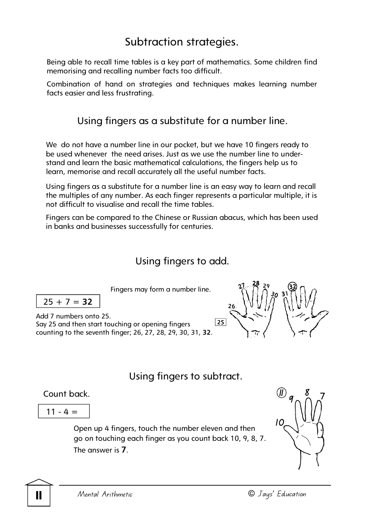# Subtraction strategies.

Being able to recall time tables is a key part of mathematics. Some children find memorising and recalling number facts too difficult.

Combination of hand on strategies and techniques makes learning number facts easier and less frustrating.

### Using fingers as a substitute for a number line.

We do not have a number line in our pocket, but we have 10 fingers ready to be used whenever the need arises. Just as we use the number line to understand and learn the basic mathematical calculations, the fingers help us to learn, memorise and recall accurately all the useful number facts.

Using fingers as a substitute for a number line is an easy way to learn and recall the multiples of any number. As each finger represents a particular multiple, it is not difficult to visualise and recall the time tables.

Fingers can be compared to the Chinese or Russian abacus, which has been used in banks and businesses successfully for centuries.

## Using fingers to add.

Fingers may form a number line.

$$
25+7=32
$$

Add 7 numbers onto 25. Say 25 and then start touching or opening fingers counting to the seventh finger; 26, 27, 28, 29, 30, 31, **32**.  $\sqrt{25}$ 

$$
\frac{26}{5} = 127
$$

## Using fingers to subtract.

$$
\boxed{11 - 4 =}
$$

Open up 4 fingers, touch the number eleven and then go on touching each finger as you count back 10, 9, 8, 7. The answer is **7**.

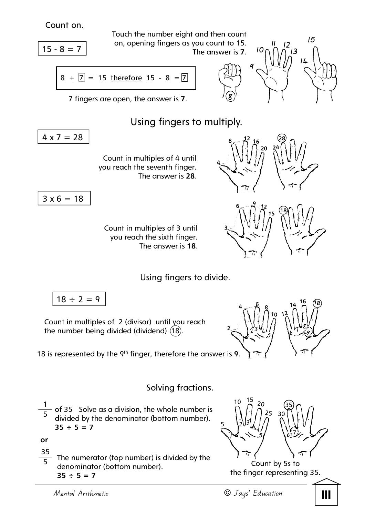Count on.

$$
15-8=7
$$

Touch the number eight and then count on, opening fingers as you count to 15. The answer is **7**.

$$
8 + 7 = 15
$$
 therefore 15 - 8 = 7

 $\widehat{\mathbf{g}}$ **9** 

**20 24**

**15**

**18** 

 $14^{16}$ 

**18**

**<sup>9</sup> <sup>7</sup> 8** 

**28** 



7 fingers are open, the answer is **7**.

## Using fingers to multiply.

 $4 \times 7 = 28$ 

Count in multiples of 4 until you reach the seventh finger. The answer is **28**.

$$
3 \times 6 = 18
$$

Count in multiples of 3 until you reach the sixth finger. The answer is **18**.

Using fingers to divide.

 $18 \div 2 = 9$ 

Count in multiples of 2 (divisor) until you reach the number being divided (dividend)  $(18)$ .

18 is represented by the 9th finger, therefore the answer is **9**.

### Solving fractions.

 of 35 Solve as a division, the whole number is divided by the denominator (bottom number).  $35 \div 5 = 7$ 1 5

**or** 

 The numerator (top number) is divided by the denominator (bottom number).  $35 \div 5 = 7$ 35 5

j



Count by 5s to the finger representing 35.





**4** 

**3** 

**2** 

**8 12 <sup>16</sup>**

**6 9 <sup>12</sup>**

**<sup>4</sup>6 <sup>8</sup>**

 $\begin{bmatrix} 0 & 3 & 4 & 6 \ 2 & 3 & 4 & 6 \end{bmatrix}$ **5**

**10 12**

**1**